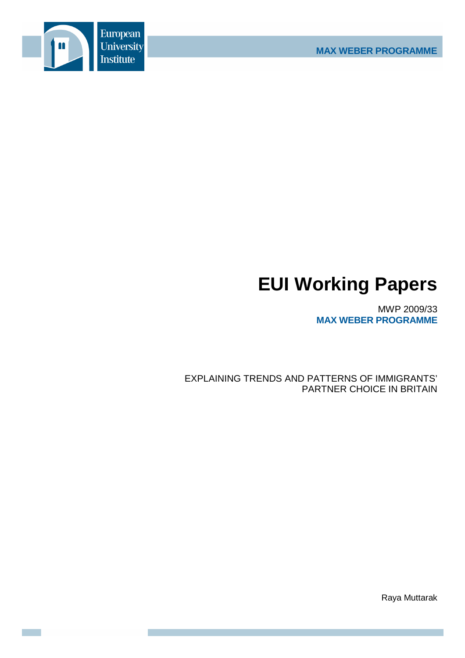

# **EUI Working Papers**

MWP 2009/33 **MAX WEBER PROGRAMME**

EXPLAINING TRENDS AND PATTERNS OF IMMIGRANTS' PARTNER CHOICE IN BRITAIN

Raya Muttarak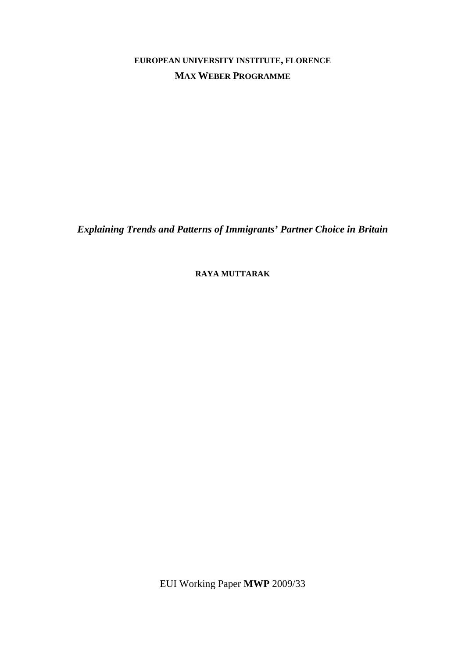**EUROPEAN UNIVERSITY INSTITUTE, FLORENCE MAX WEBER PROGRAMME**

*Explaining Trends and Patterns of Immigrants' Partner Choice in Britain* 

**RAYA MUTTARAK**

EUI Working Paper **MWP** 2009/33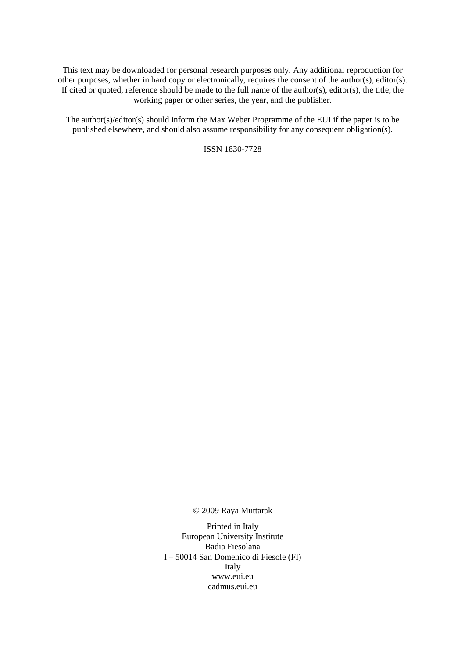This text may be downloaded for personal research purposes only. Any additional reproduction for other purposes, whether in hard copy or electronically, requires the consent of the author(s), editor(s). If cited or quoted, reference should be made to the full name of the author(s), editor(s), the title, the working paper or other series, the year, and the publisher.

The author(s)/editor(s) should inform the Max Weber Programme of the EUI if the paper is to be published elsewhere, and should also assume responsibility for any consequent obligation(s).

ISSN 1830-7728

© 2009 Raya Muttarak

Printed in Italy European University Institute Badia Fiesolana I – 50014 San Domenico di Fiesole (FI) Italy www.eui.eu cadmus.eui.eu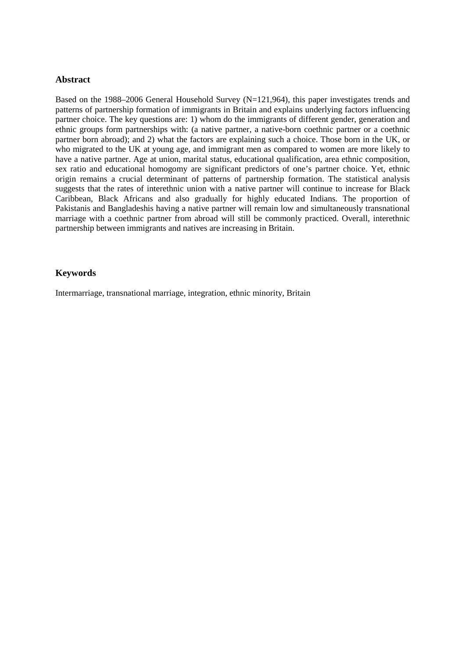## **Abstract**

Based on the 1988–2006 General Household Survey (N=121,964), this paper investigates trends and patterns of partnership formation of immigrants in Britain and explains underlying factors influencing partner choice. The key questions are: 1) whom do the immigrants of different gender, generation and ethnic groups form partnerships with: (a native partner, a native-born coethnic partner or a coethnic partner born abroad); and 2) what the factors are explaining such a choice. Those born in the UK, or who migrated to the UK at young age, and immigrant men as compared to women are more likely to have a native partner. Age at union, marital status, educational qualification, area ethnic composition, sex ratio and educational homogomy are significant predictors of one's partner choice. Yet, ethnic origin remains a crucial determinant of patterns of partnership formation. The statistical analysis suggests that the rates of interethnic union with a native partner will continue to increase for Black Caribbean, Black Africans and also gradually for highly educated Indians. The proportion of Pakistanis and Bangladeshis having a native partner will remain low and simultaneously transnational marriage with a coethnic partner from abroad will still be commonly practiced. Overall, interethnic partnership between immigrants and natives are increasing in Britain.

# **Keywords**

Intermarriage, transnational marriage, integration, ethnic minority, Britain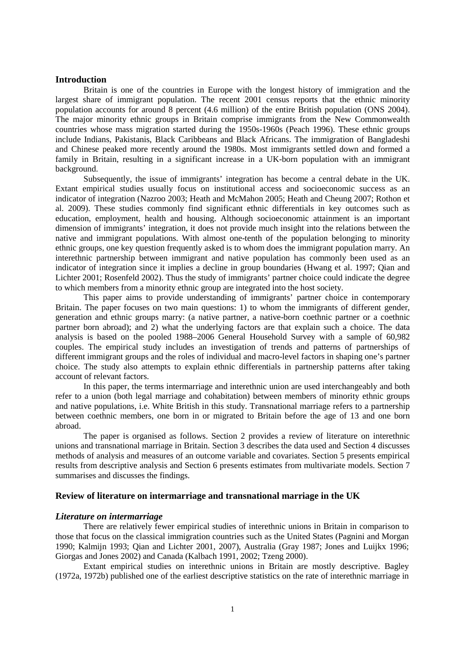## **Introduction**

Britain is one of the countries in Europe with the longest history of immigration and the largest share of immigrant population. The recent 2001 census reports that the ethnic minority population accounts for around 8 percent (4.6 million) of the entire British population (ONS 2004). The major minority ethnic groups in Britain comprise immigrants from the New Commonwealth countries whose mass migration started during the 1950s-1960s (Peach 1996). These ethnic groups include Indians, Pakistanis, Black Caribbeans and Black Africans. The immigration of Bangladeshi and Chinese peaked more recently around the 1980s. Most immigrants settled down and formed a family in Britain, resulting in a significant increase in a UK-born population with an immigrant background.

Subsequently, the issue of immigrants' integration has become a central debate in the UK. Extant empirical studies usually focus on institutional access and socioeconomic success as an indicator of integration (Nazroo 2003; Heath and McMahon 2005; Heath and Cheung 2007; Rothon et al. 2009). These studies commonly find significant ethnic differentials in key outcomes such as education, employment, health and housing. Although socioeconomic attainment is an important dimension of immigrants' integration, it does not provide much insight into the relations between the native and immigrant populations. With almost one-tenth of the population belonging to minority ethnic groups, one key question frequently asked is to whom does the immigrant population marry. An interethnic partnership between immigrant and native population has commonly been used as an indicator of integration since it implies a decline in group boundaries (Hwang et al. 1997; Qian and Lichter 2001; Rosenfeld 2002). Thus the study of immigrants' partner choice could indicate the degree to which members from a minority ethnic group are integrated into the host society.

This paper aims to provide understanding of immigrants' partner choice in contemporary Britain. The paper focuses on two main questions: 1) to whom the immigrants of different gender, generation and ethnic groups marry: (a native partner, a native-born coethnic partner or a coethnic partner born abroad); and 2) what the underlying factors are that explain such a choice. The data analysis is based on the pooled 1988–2006 General Household Survey with a sample of 60,982 couples. The empirical study includes an investigation of trends and patterns of partnerships of different immigrant groups and the roles of individual and macro-level factors in shaping one's partner choice. The study also attempts to explain ethnic differentials in partnership patterns after taking account of relevant factors.

In this paper, the terms intermarriage and interethnic union are used interchangeably and both refer to a union (both legal marriage and cohabitation) between members of minority ethnic groups and native populations, i.e. White British in this study. Transnational marriage refers to a partnership between coethnic members, one born in or migrated to Britain before the age of 13 and one born abroad.

The paper is organised as follows. Section 2 provides a review of literature on interethnic unions and transnational marriage in Britain. Section 3 describes the data used and Section 4 discusses methods of analysis and measures of an outcome variable and covariates. Section 5 presents empirical results from descriptive analysis and Section 6 presents estimates from multivariate models. Section 7 summarises and discusses the findings.

## **Review of literature on intermarriage and transnational marriage in the UK**

## *Literature on intermarriage*

There are relatively fewer empirical studies of interethnic unions in Britain in comparison to those that focus on the classical immigration countries such as the United States (Pagnini and Morgan 1990; Kalmijn 1993; Qian and Lichter 2001, 2007), Australia (Gray 1987; Jones and Luijkx 1996; Giorgas and Jones 2002) and Canada (Kalbach 1991, 2002; Tzeng 2000).

Extant empirical studies on interethnic unions in Britain are mostly descriptive. Bagley (1972a, 1972b) published one of the earliest descriptive statistics on the rate of interethnic marriage in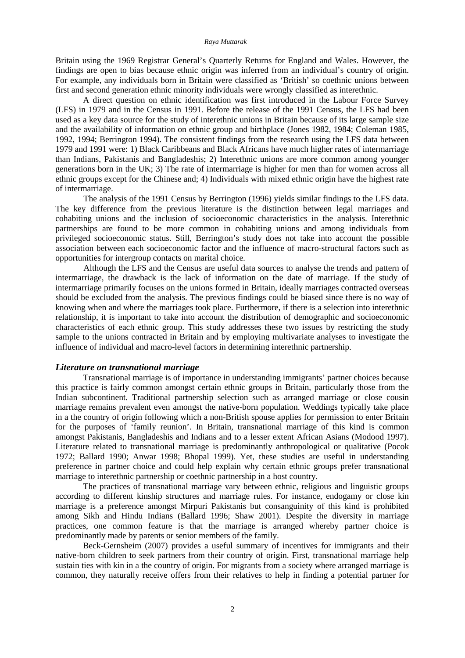#### *Raya Muttarak*

Britain using the 1969 Registrar General's Quarterly Returns for England and Wales. However, the findings are open to bias because ethnic origin was inferred from an individual's country of origin. For example, any individuals born in Britain were classified as 'British' so coethnic unions between first and second generation ethnic minority individuals were wrongly classified as interethnic.

 A direct question on ethnic identification was first introduced in the Labour Force Survey (LFS) in 1979 and in the Census in 1991. Before the release of the 1991 Census, the LFS had been used as a key data source for the study of interethnic unions in Britain because of its large sample size and the availability of information on ethnic group and birthplace (Jones 1982, 1984; Coleman 1985, 1992, 1994; Berrington 1994). The consistent findings from the research using the LFS data between 1979 and 1991 were: 1) Black Caribbeans and Black Africans have much higher rates of intermarriage than Indians, Pakistanis and Bangladeshis; 2) Interethnic unions are more common among younger generations born in the UK; 3) The rate of intermarriage is higher for men than for women across all ethnic groups except for the Chinese and; 4) Individuals with mixed ethnic origin have the highest rate of intermarriage.

The analysis of the 1991 Census by Berrington (1996) yields similar findings to the LFS data. The key difference from the previous literature is the distinction between legal marriages and cohabiting unions and the inclusion of socioeconomic characteristics in the analysis. Interethnic partnerships are found to be more common in cohabiting unions and among individuals from privileged socioeconomic status. Still, Berrington's study does not take into account the possible association between each socioeconomic factor and the influence of macro-structural factors such as opportunities for intergroup contacts on marital choice.

Although the LFS and the Census are useful data sources to analyse the trends and pattern of intermarriage, the drawback is the lack of information on the date of marriage. If the study of intermarriage primarily focuses on the unions formed in Britain, ideally marriages contracted overseas should be excluded from the analysis. The previous findings could be biased since there is no way of knowing when and where the marriages took place. Furthermore, if there is a selection into interethnic relationship, it is important to take into account the distribution of demographic and socioeconomic characteristics of each ethnic group. This study addresses these two issues by restricting the study sample to the unions contracted in Britain and by employing multivariate analyses to investigate the influence of individual and macro-level factors in determining interethnic partnership.

## *Literature on transnational marriage*

 Transnational marriage is of importance in understanding immigrants' partner choices because this practice is fairly common amongst certain ethnic groups in Britain, particularly those from the Indian subcontinent. Traditional partnership selection such as arranged marriage or close cousin marriage remains prevalent even amongst the native-born population. Weddings typically take place in a the country of origin following which a non-British spouse applies for permission to enter Britain for the purposes of 'family reunion'. In Britain, transnational marriage of this kind is common amongst Pakistanis, Bangladeshis and Indians and to a lesser extent African Asians (Modood 1997). Literature related to transnational marriage is predominantly anthropological or qualitative (Pocok 1972; Ballard 1990; Anwar 1998; Bhopal 1999). Yet, these studies are useful in understanding preference in partner choice and could help explain why certain ethnic groups prefer transnational marriage to interethnic partnership or coethnic partnership in a host country.

 The practices of transnational marriage vary between ethnic, religious and linguistic groups according to different kinship structures and marriage rules. For instance, endogamy or close kin marriage is a preference amongst Mirpuri Pakistanis but consanguinity of this kind is prohibited among Sikh and Hindu Indians (Ballard 1996; Shaw 2001). Despite the diversity in marriage practices, one common feature is that the marriage is arranged whereby partner choice is predominantly made by parents or senior members of the family.

 Beck-Gernsheim (2007) provides a useful summary of incentives for immigrants and their native-born children to seek partners from their country of origin. First, transnational marriage help sustain ties with kin in a the country of origin. For migrants from a society where arranged marriage is common, they naturally receive offers from their relatives to help in finding a potential partner for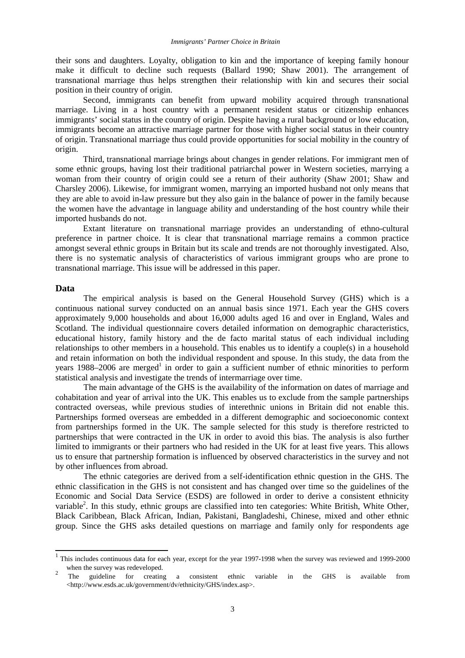their sons and daughters. Loyalty, obligation to kin and the importance of keeping family honour make it difficult to decline such requests (Ballard 1990; Shaw 2001). The arrangement of transnational marriage thus helps strengthen their relationship with kin and secures their social position in their country of origin.

 Second, immigrants can benefit from upward mobility acquired through transnational marriage. Living in a host country with a permanent resident status or citizenship enhances immigrants' social status in the country of origin. Despite having a rural background or low education, immigrants become an attractive marriage partner for those with higher social status in their country of origin. Transnational marriage thus could provide opportunities for social mobility in the country of origin.

 Third, transnational marriage brings about changes in gender relations. For immigrant men of some ethnic groups, having lost their traditional patriarchal power in Western societies, marrying a woman from their country of origin could see a return of their authority (Shaw 2001; Shaw and Charsley 2006). Likewise, for immigrant women, marrying an imported husband not only means that they are able to avoid in-law pressure but they also gain in the balance of power in the family because the women have the advantage in language ability and understanding of the host country while their imported husbands do not.

 Extant literature on transnational marriage provides an understanding of ethno-cultural preference in partner choice. It is clear that transnational marriage remains a common practice amongst several ethnic groups in Britain but its scale and trends are not thoroughly investigated. Also, there is no systematic analysis of characteristics of various immigrant groups who are prone to transnational marriage. This issue will be addressed in this paper.

## **Data**

The empirical analysis is based on the General Household Survey (GHS) which is a continuous national survey conducted on an annual basis since 1971. Each year the GHS covers approximately 9,000 households and about 16,000 adults aged 16 and over in England, Wales and Scotland. The individual questionnaire covers detailed information on demographic characteristics, educational history, family history and the de facto marital status of each individual including relationships to other members in a household. This enables us to identify a couple(s) in a household and retain information on both the individual respondent and spouse. In this study, the data from the years 1988–2006 are merged<sup>1</sup> in order to gain a sufficient number of ethnic minorities to perform statistical analysis and investigate the trends of intermarriage over time.

The main advantage of the GHS is the availability of the information on dates of marriage and cohabitation and year of arrival into the UK. This enables us to exclude from the sample partnerships contracted overseas, while previous studies of interethnic unions in Britain did not enable this. Partnerships formed overseas are embedded in a different demographic and socioeconomic context from partnerships formed in the UK. The sample selected for this study is therefore restricted to partnerships that were contracted in the UK in order to avoid this bias. The analysis is also further limited to immigrants or their partners who had resided in the UK for at least five years. This allows us to ensure that partnership formation is influenced by observed characteristics in the survey and not by other influences from abroad.

The ethnic categories are derived from a self-identification ethnic question in the GHS. The ethnic classification in the GHS is not consistent and has changed over time so the guidelines of the Economic and Social Data Service (ESDS) are followed in order to derive a consistent ethnicity variable<sup>2</sup>. In this study, ethnic groups are classified into ten categories: White British, White Other, Black Caribbean, Black African, Indian, Pakistani, Bangladeshi, Chinese, mixed and other ethnic group. Since the GHS asks detailed questions on marriage and family only for respondents age

<sup>&</sup>lt;sup>1</sup> This includes continuous data for each year, except for the year 1997-1998 when the survey was reviewed and 1999-2000 when the survey was redeveloped.

<sup>2</sup> The guideline for creating a consistent ethnic variable in the GHS is available from <http://www.esds.ac.uk/government/dv/ethnicity/GHS/index.asp>.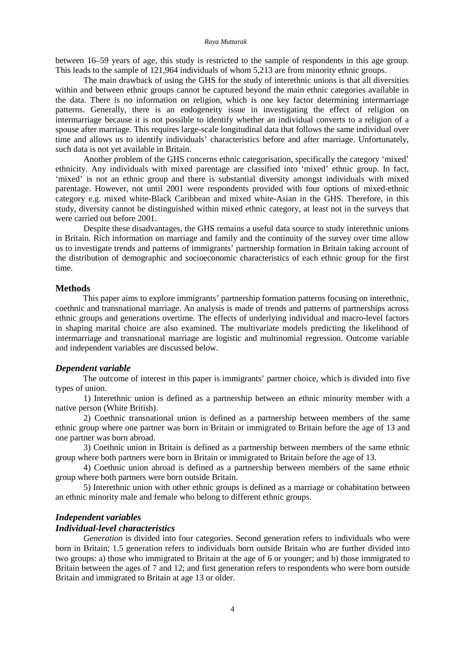#### *Raya Muttarak*

between 16–59 years of age, this study is restricted to the sample of respondents in this age group. This leads to the sample of 121,964 individuals of whom 5,213 are from minority ethnic groups.

The main drawback of using the GHS for the study of interethnic unions is that all diversities within and between ethnic groups cannot be captured beyond the main ethnic categories available in the data. There is no information on religion, which is one key factor determining intermarriage patterns. Generally, there is an endogeneity issue in investigating the effect of religion on intermarriage because it is not possible to identify whether an individual converts to a religion of a spouse after marriage. This requires large-scale longitudinal data that follows the same individual over time and allows us to identify individuals' characteristics before and after marriage. Unfortunately, such data is not yet available in Britain.

Another problem of the GHS concerns ethnic categorisation, specifically the category 'mixed' ethnicity. Any individuals with mixed parentage are classified into 'mixed' ethnic group. In fact, 'mixed' is not an ethnic group and there is substantial diversity amongst individuals with mixed parentage. However, not until 2001 were respondents provided with four options of mixed-ethnic category e.g. mixed white-Black Caribbean and mixed white-Asian in the GHS. Therefore, in this study, diversity cannot be distinguished within mixed ethnic category, at least not in the surveys that were carried out before 2001.

Despite these disadvantages, the GHS remains a useful data source to study interethnic unions in Britain. Rich information on marriage and family and the continuity of the survey over time allow us to investigate trends and patterns of immigrants' partnership formation in Britain taking account of the distribution of demographic and socioeconomic characteristics of each ethnic group for the first time.

## **Methods**

 This paper aims to explore immigrants' partnership formation patterns focusing on interethnic, coethnic and transnational marriage. An analysis is made of trends and patterns of partnerships across ethnic groups and generations overtime. The effects of underlying individual and macro-level factors in shaping marital choice are also examined. The multivariate models predicting the likelihood of intermarriage and transnational marriage are logistic and multinomial regression. Outcome variable and independent variables are discussed below.

#### *Dependent variable*

The outcome of interest in this paper is immigrants' partner choice, which is divided into five types of union.

1) Interethnic union is defined as a partnership between an ethnic minority member with a native person (White British).

2) Coethnic transnational union is defined as a partnership between members of the same ethnic group where one partner was born in Britain or immigrated to Britain before the age of 13 and one partner was born abroad.

3) Coethnic union in Britain is defined as a partnership between members of the same ethnic group where both partners were born in Britain or immigrated to Britain before the age of 13.

4) Coethnic union abroad is defined as a partnership between members of the same ethnic group where both partners were born outside Britain.

5) Interethnic union with other ethnic groups is defined as a marriage or cohabitation between an ethnic minority male and female who belong to different ethnic groups.

## *Independent variables*

## *Individual-level characteristics*

*Generation* is divided into four categories. Second generation refers to individuals who were born in Britain; 1.5 generation refers to individuals born outside Britain who are further divided into two groups: a) those who immigrated to Britain at the age of 6 or younger; and b) those immigrated to Britain between the ages of 7 and 12; and first generation refers to respondents who were born outside Britain and immigrated to Britain at age 13 or older.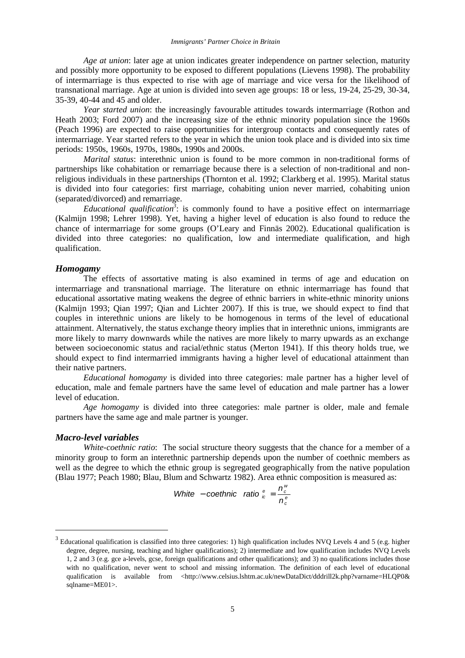*Age at union*: later age at union indicates greater independence on partner selection, maturity and possibly more opportunity to be exposed to different populations (Lievens 1998). The probability of intermarriage is thus expected to rise with age of marriage and vice versa for the likelihood of transnational marriage. Age at union is divided into seven age groups: 18 or less, 19-24, 25-29, 30-34, 35-39, 40-44 and 45 and older.

*Year started union*: the increasingly favourable attitudes towards intermarriage (Rothon and Heath 2003; Ford 2007) and the increasing size of the ethnic minority population since the 1960s (Peach 1996) are expected to raise opportunities for intergroup contacts and consequently rates of intermarriage. Year started refers to the year in which the union took place and is divided into six time periods: 1950s, 1960s, 1970s, 1980s, 1990s and 2000s.

*Marital status*: interethnic union is found to be more common in non-traditional forms of partnerships like cohabitation or remarriage because there is a selection of non-traditional and nonreligious individuals in these partnerships (Thornton et al. 1992; Clarkberg et al. 1995). Marital status is divided into four categories: first marriage, cohabiting union never married, cohabiting union (separated/divorced) and remarriage.

*Educational qualification<sup>3</sup>* : is commonly found to have a positive effect on intermarriage (Kalmijn 1998; Lehrer 1998). Yet, having a higher level of education is also found to reduce the chance of intermarriage for some groups (O'Leary and Finnäs 2002). Educational qualification is divided into three categories: no qualification, low and intermediate qualification, and high qualification.

## *Homogamy*

The effects of assortative mating is also examined in terms of age and education on intermarriage and transnational marriage. The literature on ethnic intermarriage has found that educational assortative mating weakens the degree of ethnic barriers in white-ethnic minority unions (Kalmijn 1993; Qian 1997; Qian and Lichter 2007). If this is true, we should expect to find that couples in interethnic unions are likely to be homogenous in terms of the level of educational attainment. Alternatively, the status exchange theory implies that in interethnic unions, immigrants are more likely to marry downwards while the natives are more likely to marry upwards as an exchange between socioeconomic status and racial/ethnic status (Merton 1941). If this theory holds true, we should expect to find intermarried immigrants having a higher level of educational attainment than their native partners.

*Educational homogamy* is divided into three categories: male partner has a higher level of education, male and female partners have the same level of education and male partner has a lower level of education.

*Age homogamy* is divided into three categories: male partner is older, male and female partners have the same age and male partner is younger.

### *Macro-level variables*

 $\overline{a}$ 

*White-coethnic ratio*: The social structure theory suggests that the chance for a member of a minority group to form an interethnic partnership depends upon the number of coethnic members as well as the degree to which the ethnic group is segregated geographically from the native population (Blau 1977; Peach 1980; Blau, Blum and Schwartz 1982). Area ethnic composition is measured as:

White – coefficient ratio 
$$
\frac{e}{k} = \frac{n_c^w}{n_c^e}
$$

 $3$  Educational qualification is classified into three categories: 1) high qualification includes NVQ Levels 4 and 5 (e.g. higher degree, degree, nursing, teaching and higher qualifications); 2) intermediate and low qualification includes NVQ Levels 1, 2 and 3 (e.g. gce a-levels, gcse, foreign qualifications and other qualifications); and 3) no qualifications includes those with no qualification, never went to school and missing information. The definition of each level of educational qualification is available from <http://www.celsius.lshtm.ac.uk/newDataDict/dddrill2k.php?varname=HLQP0& sqlname=ME01>.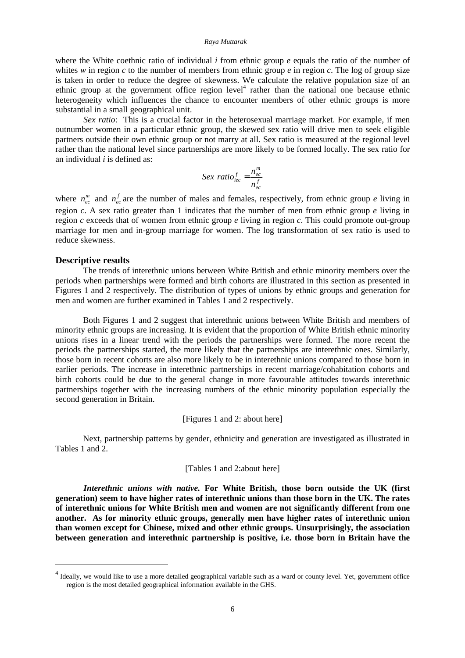#### *Raya Muttarak*

where the White coethnic ratio of individual *i* from ethnic group *e* equals the ratio of the number of whites *w* in region *c* to the number of members from ethnic group *e* in region *c*. The log of group size is taken in order to reduce the degree of skewness. We calculate the relative population size of an ethnic group at the government office region level<sup>4</sup> rather than the national one because ethnic heterogeneity which influences the chance to encounter members of other ethnic groups is more substantial in a small geographical unit.

*Sex ratio*: This is a crucial factor in the heterosexual marriage market. For example, if men outnumber women in a particular ethnic group, the skewed sex ratio will drive men to seek eligible partners outside their own ethnic group or not marry at all. Sex ratio is measured at the regional level rather than the national level since partnerships are more likely to be formed locally. The sex ratio for an individual *i* is defined as:

$$
Sex ratio_{\text{dec}}^f = \frac{n_{\text{ec}}^m}{n_{\text{ec}}^f}
$$

where  $n_{ec}^{m}$  and  $n_{ec}^{f}$  are the number of males and females, respectively, from ethnic group *e* living in region *c*. A sex ratio greater than 1 indicates that the number of men from ethnic group *e* living in region *c* exceeds that of women from ethnic group *e* living in region *c*. This could promote out-group marriage for men and in-group marriage for women. The log transformation of sex ratio is used to reduce skewness.

## **Descriptive results**

 $\overline{a}$ 

The trends of interethnic unions between White British and ethnic minority members over the periods when partnerships were formed and birth cohorts are illustrated in this section as presented in Figures 1 and 2 respectively. The distribution of types of unions by ethnic groups and generation for men and women are further examined in Tables 1 and 2 respectively.

 Both Figures 1 and 2 suggest that interethnic unions between White British and members of minority ethnic groups are increasing. It is evident that the proportion of White British ethnic minority unions rises in a linear trend with the periods the partnerships were formed. The more recent the periods the partnerships started, the more likely that the partnerships are interethnic ones. Similarly, those born in recent cohorts are also more likely to be in interethnic unions compared to those born in earlier periods. The increase in interethnic partnerships in recent marriage/cohabitation cohorts and birth cohorts could be due to the general change in more favourable attitudes towards interethnic partnerships together with the increasing numbers of the ethnic minority population especially the second generation in Britain.

## [Figures 1 and 2: about here]

 Next, partnership patterns by gender, ethnicity and generation are investigated as illustrated in Tables 1 and 2.

## [Tables 1 and 2:about here]

*Interethnic unions with native.* **For White British, those born outside the UK (first generation) seem to have higher rates of interethnic unions than those born in the UK. The rates of interethnic unions for White British men and women are not significantly different from one another. As for minority ethnic groups, generally men have higher rates of interethnic union than women except for Chinese, mixed and other ethnic groups. Unsurprisingly, the association between generation and interethnic partnership is positive, i.e. those born in Britain have the** 

<sup>&</sup>lt;sup>4</sup> Ideally, we would like to use a more detailed geographical variable such as a ward or county level. Yet, government office region is the most detailed geographical information available in the GHS.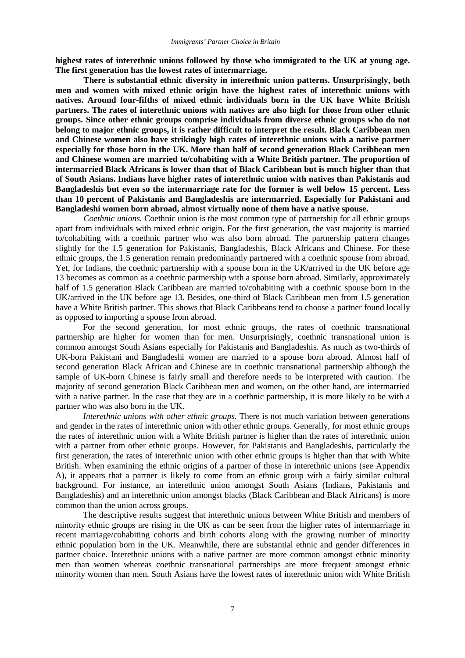**highest rates of interethnic unions followed by those who immigrated to the UK at young age. The first generation has the lowest rates of intermarriage.** 

**There is substantial ethnic diversity in interethnic union patterns. Unsurprisingly, both men and women with mixed ethnic origin have the highest rates of interethnic unions with natives. Around four-fifths of mixed ethnic individuals born in the UK have White British partners. The rates of interethnic unions with natives are also high for those from other ethnic groups. Since other ethnic groups comprise individuals from diverse ethnic groups who do not belong to major ethnic groups, it is rather difficult to interpret the result. Black Caribbean men and Chinese women also have strikingly high rates of interethnic unions with a native partner especially for those born in the UK. More than half of second generation Black Caribbean men and Chinese women are married to/cohabiting with a White British partner. The proportion of intermarried Black Africans is lower than that of Black Caribbean but is much higher than that of South Asians. Indians have higher rates of interethnic union with natives than Pakistanis and Bangladeshis but even so the intermarriage rate for the former is well below 15 percent. Less than 10 percent of Pakistanis and Bangladeshis are intermarried. Especially for Pakistani and Bangladeshi women born abroad, almost virtually none of them have a native spouse.** 

*Coethnic unions.* Coethnic union is the most common type of partnership for all ethnic groups apart from individuals with mixed ethnic origin. For the first generation, the vast majority is married to/cohabiting with a coethnic partner who was also born abroad. The partnership pattern changes slightly for the 1.5 generation for Pakistanis, Bangladeshis, Black Africans and Chinese. For these ethnic groups, the 1.5 generation remain predominantly partnered with a coethnic spouse from abroad. Yet, for Indians, the coethnic partnership with a spouse born in the UK/arrived in the UK before age 13 becomes as common as a coethnic partnership with a spouse born abroad. Similarly, approximately half of 1.5 generation Black Caribbean are married to/cohabiting with a coethnic spouse born in the UK/arrived in the UK before age 13. Besides, one-third of Black Caribbean men from 1.5 generation have a White British partner. This shows that Black Caribbeans tend to choose a partner found locally as opposed to importing a spouse from abroad.

 For the second generation, for most ethnic groups, the rates of coethnic transnational partnership are higher for women than for men. Unsurprisingly, coethnic transnational union is common amongst South Asians especially for Pakistanis and Bangladeshis. As much as two-thirds of UK-born Pakistani and Bangladeshi women are married to a spouse born abroad. Almost half of second generation Black African and Chinese are in coethnic transnational partnership although the sample of UK-born Chinese is fairly small and therefore needs to be interpreted with caution. The majority of second generation Black Caribbean men and women, on the other hand, are intermarried with a native partner. In the case that they are in a coethnic partnership, it is more likely to be with a partner who was also born in the UK.

*Interethnic unions with other ethnic groups.* There is not much variation between generations and gender in the rates of interethnic union with other ethnic groups. Generally, for most ethnic groups the rates of interethnic union with a White British partner is higher than the rates of interethnic union with a partner from other ethnic groups. However, for Pakistanis and Bangladeshis, particularly the first generation, the rates of interethnic union with other ethnic groups is higher than that with White British. When examining the ethnic origins of a partner of those in interethnic unions (see Appendix A), it appears that a partner is likely to come from an ethnic group with a fairly similar cultural background. For instance, an interethnic union amongst South Asians (Indians, Pakistanis and Bangladeshis) and an interethnic union amongst blacks (Black Caribbean and Black Africans) is more common than the union across groups.

The descriptive results suggest that interethnic unions between White British and members of minority ethnic groups are rising in the UK as can be seen from the higher rates of intermarriage in recent marriage/cohabiting cohorts and birth cohorts along with the growing number of minority ethnic population born in the UK. Meanwhile, there are substantial ethnic and gender differences in partner choice. Interethnic unions with a native partner are more common amongst ethnic minority men than women whereas coethnic transnational partnerships are more frequent amongst ethnic minority women than men. South Asians have the lowest rates of interethnic union with White British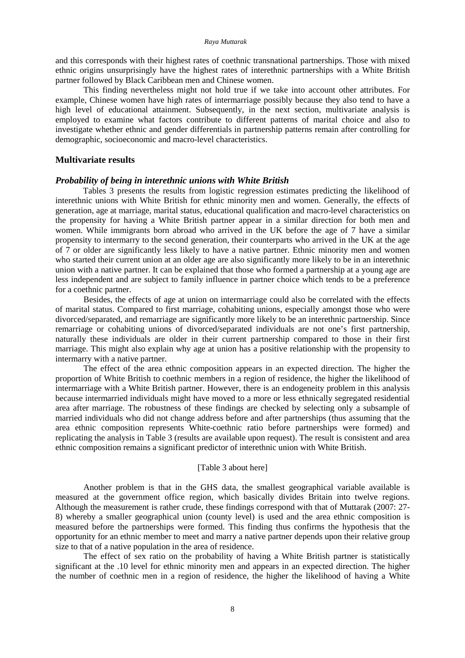#### *Raya Muttarak*

and this corresponds with their highest rates of coethnic transnational partnerships. Those with mixed ethnic origins unsurprisingly have the highest rates of interethnic partnerships with a White British partner followed by Black Caribbean men and Chinese women.

This finding nevertheless might not hold true if we take into account other attributes. For example, Chinese women have high rates of intermarriage possibly because they also tend to have a high level of educational attainment. Subsequently, in the next section, multivariate analysis is employed to examine what factors contribute to different patterns of marital choice and also to investigate whether ethnic and gender differentials in partnership patterns remain after controlling for demographic, socioeconomic and macro-level characteristics.

## **Multivariate results**

## *Probability of being in interethnic unions with White British*

Tables 3 presents the results from logistic regression estimates predicting the likelihood of interethnic unions with White British for ethnic minority men and women. Generally, the effects of generation, age at marriage, marital status, educational qualification and macro-level characteristics on the propensity for having a White British partner appear in a similar direction for both men and women. While immigrants born abroad who arrived in the UK before the age of 7 have a similar propensity to intermarry to the second generation, their counterparts who arrived in the UK at the age of 7 or older are significantly less likely to have a native partner. Ethnic minority men and women who started their current union at an older age are also significantly more likely to be in an interethnic union with a native partner. It can be explained that those who formed a partnership at a young age are less independent and are subject to family influence in partner choice which tends to be a preference for a coethnic partner.

Besides, the effects of age at union on intermarriage could also be correlated with the effects of marital status. Compared to first marriage, cohabiting unions, especially amongst those who were divorced/separated, and remarriage are significantly more likely to be an interethnic partnership. Since remarriage or cohabiting unions of divorced/separated individuals are not one's first partnership, naturally these individuals are older in their current partnership compared to those in their first marriage. This might also explain why age at union has a positive relationship with the propensity to intermarry with a native partner.

The effect of the area ethnic composition appears in an expected direction. The higher the proportion of White British to coethnic members in a region of residence, the higher the likelihood of intermarriage with a White British partner. However, there is an endogeneity problem in this analysis because intermarried individuals might have moved to a more or less ethnically segregated residential area after marriage. The robustness of these findings are checked by selecting only a subsample of married individuals who did not change address before and after partnerships (thus assuming that the area ethnic composition represents White-coethnic ratio before partnerships were formed) and replicating the analysis in Table 3 (results are available upon request). The result is consistent and area ethnic composition remains a significant predictor of interethnic union with White British.

## [Table 3 about here]

Another problem is that in the GHS data, the smallest geographical variable available is measured at the government office region, which basically divides Britain into twelve regions. Although the measurement is rather crude, these findings correspond with that of Muttarak (2007: 27- 8) whereby a smaller geographical union (county level) is used and the area ethnic composition is measured before the partnerships were formed. This finding thus confirms the hypothesis that the opportunity for an ethnic member to meet and marry a native partner depends upon their relative group size to that of a native population in the area of residence.

The effect of sex ratio on the probability of having a White British partner is statistically significant at the .10 level for ethnic minority men and appears in an expected direction. The higher the number of coethnic men in a region of residence, the higher the likelihood of having a White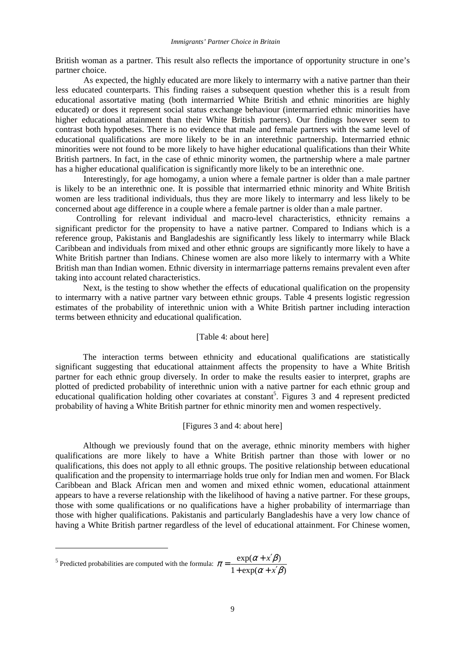British woman as a partner. This result also reflects the importance of opportunity structure in one's partner choice.

As expected, the highly educated are more likely to intermarry with a native partner than their less educated counterparts. This finding raises a subsequent question whether this is a result from educational assortative mating (both intermarried White British and ethnic minorities are highly educated) or does it represent social status exchange behaviour (intermarried ethnic minorities have higher educational attainment than their White British partners). Our findings however seem to contrast both hypotheses. There is no evidence that male and female partners with the same level of educational qualifications are more likely to be in an interethnic partnership. Intermarried ethnic minorities were not found to be more likely to have higher educational qualifications than their White British partners. In fact, in the case of ethnic minority women, the partnership where a male partner has a higher educational qualification is significantly more likely to be an interethnic one.

Interestingly, for age homogamy, a union where a female partner is older than a male partner is likely to be an interethnic one. It is possible that intermarried ethnic minority and White British women are less traditional individuals, thus they are more likely to intermarry and less likely to be concerned about age difference in a couple where a female partner is older than a male partner.

Controlling for relevant individual and macro-level characteristics, ethnicity remains a significant predictor for the propensity to have a native partner. Compared to Indians which is a reference group, Pakistanis and Bangladeshis are significantly less likely to intermarry while Black Caribbean and individuals from mixed and other ethnic groups are significantly more likely to have a White British partner than Indians. Chinese women are also more likely to intermarry with a White British man than Indian women. Ethnic diversity in intermarriage patterns remains prevalent even after taking into account related characteristics.

 Next, is the testing to show whether the effects of educational qualification on the propensity to intermarry with a native partner vary between ethnic groups. Table 4 presents logistic regression estimates of the probability of interethnic union with a White British partner including interaction terms between ethnicity and educational qualification.

## [Table 4: about here]

The interaction terms between ethnicity and educational qualifications are statistically significant suggesting that educational attainment affects the propensity to have a White British partner for each ethnic group diversely. In order to make the results easier to interpret, graphs are plotted of predicted probability of interethnic union with a native partner for each ethnic group and educational qualification holding other covariates at constant<sup>5</sup>. Figures 3 and 4 represent predicted probability of having a White British partner for ethnic minority men and women respectively.

## [Figures 3 and 4: about here]

 Although we previously found that on the average, ethnic minority members with higher qualifications are more likely to have a White British partner than those with lower or no qualifications, this does not apply to all ethnic groups. The positive relationship between educational qualification and the propensity to intermarriage holds true only for Indian men and women. For Black Caribbean and Black African men and women and mixed ethnic women, educational attainment appears to have a reverse relationship with the likelihood of having a native partner. For these groups, those with some qualifications or no qualifications have a higher probability of intermarriage than those with higher qualifications. Pakistanis and particularly Bangladeshis have a very low chance of having a White British partner regardless of the level of educational attainment. For Chinese women,

 $\overline{a}$ 

<sup>&</sup>lt;sup>5</sup> Predicted probabilities are computed with the formula:  $\pi = \frac{\exp(\alpha + x \cdot \beta)}{1 + \exp(\alpha + x' \beta)}$  $\exp(\alpha + x'\beta)$  $\alpha + x' \beta$  $\pi = \frac{\exp(\alpha + x'\beta)}{1 + \exp(\alpha + x')\alpha}$ *x* +  $\exp(\alpha + x')$  $=\frac{\exp(\alpha+x')}{\sqrt{2\pi}}$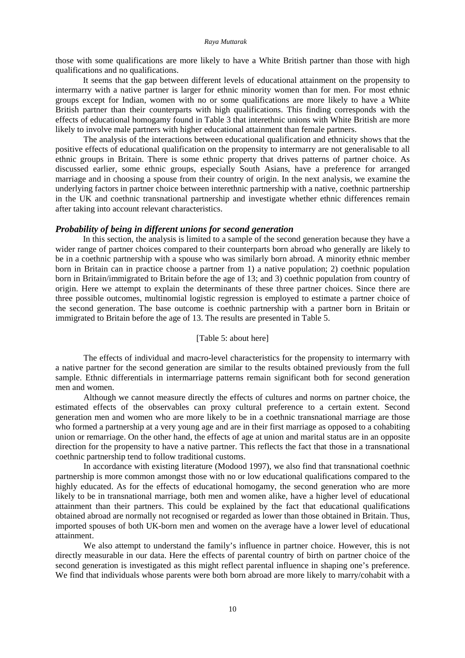those with some qualifications are more likely to have a White British partner than those with high qualifications and no qualifications.

 It seems that the gap between different levels of educational attainment on the propensity to intermarry with a native partner is larger for ethnic minority women than for men. For most ethnic groups except for Indian, women with no or some qualifications are more likely to have a White British partner than their counterparts with high qualifications. This finding corresponds with the effects of educational homogamy found in Table 3 that interethnic unions with White British are more likely to involve male partners with higher educational attainment than female partners.

The analysis of the interactions between educational qualification and ethnicity shows that the positive effects of educational qualification on the propensity to intermarry are not generalisable to all ethnic groups in Britain. There is some ethnic property that drives patterns of partner choice. As discussed earlier, some ethnic groups, especially South Asians, have a preference for arranged marriage and in choosing a spouse from their country of origin. In the next analysis, we examine the underlying factors in partner choice between interethnic partnership with a native, coethnic partnership in the UK and coethnic transnational partnership and investigate whether ethnic differences remain after taking into account relevant characteristics.

## *Probability of being in different unions for second generation*

In this section, the analysis is limited to a sample of the second generation because they have a wider range of partner choices compared to their counterparts born abroad who generally are likely to be in a coethnic partnership with a spouse who was similarly born abroad. A minority ethnic member born in Britain can in practice choose a partner from 1) a native population; 2) coethnic population born in Britain/immigrated to Britain before the age of 13; and 3) coethnic population from country of origin. Here we attempt to explain the determinants of these three partner choices. Since there are three possible outcomes, multinomial logistic regression is employed to estimate a partner choice of the second generation. The base outcome is coethnic partnership with a partner born in Britain or immigrated to Britain before the age of 13. The results are presented in Table 5.

[Table 5: about here]

The effects of individual and macro-level characteristics for the propensity to intermarry with a native partner for the second generation are similar to the results obtained previously from the full sample. Ethnic differentials in intermarriage patterns remain significant both for second generation men and women.

Although we cannot measure directly the effects of cultures and norms on partner choice, the estimated effects of the observables can proxy cultural preference to a certain extent. Second generation men and women who are more likely to be in a coethnic transnational marriage are those who formed a partnership at a very young age and are in their first marriage as opposed to a cohabiting union or remarriage. On the other hand, the effects of age at union and marital status are in an opposite direction for the propensity to have a native partner. This reflects the fact that those in a transnational coethnic partnership tend to follow traditional customs.

In accordance with existing literature (Modood 1997), we also find that transnational coethnic partnership is more common amongst those with no or low educational qualifications compared to the highly educated. As for the effects of educational homogamy, the second generation who are more likely to be in transnational marriage, both men and women alike, have a higher level of educational attainment than their partners. This could be explained by the fact that educational qualifications obtained abroad are normally not recognised or regarded as lower than those obtained in Britain. Thus, imported spouses of both UK-born men and women on the average have a lower level of educational attainment.

We also attempt to understand the family's influence in partner choice. However, this is not directly measurable in our data. Here the effects of parental country of birth on partner choice of the second generation is investigated as this might reflect parental influence in shaping one's preference. We find that individuals whose parents were both born abroad are more likely to marry/cohabit with a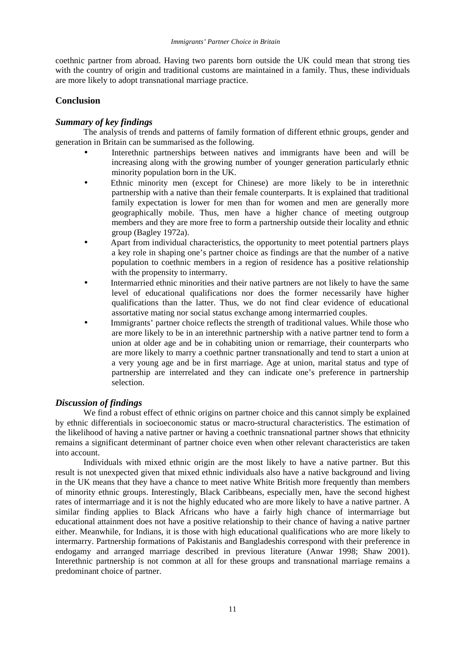coethnic partner from abroad. Having two parents born outside the UK could mean that strong ties with the country of origin and traditional customs are maintained in a family. Thus, these individuals are more likely to adopt transnational marriage practice.

# **Conclusion**

# *Summary of key findings*

The analysis of trends and patterns of family formation of different ethnic groups, gender and generation in Britain can be summarised as the following.

- Interethnic partnerships between natives and immigrants have been and will be increasing along with the growing number of younger generation particularly ethnic minority population born in the UK.
- Ethnic minority men (except for Chinese) are more likely to be in interethnic partnership with a native than their female counterparts. It is explained that traditional family expectation is lower for men than for women and men are generally more geographically mobile. Thus, men have a higher chance of meeting outgroup members and they are more free to form a partnership outside their locality and ethnic group (Bagley 1972a).
- Apart from individual characteristics, the opportunity to meet potential partners plays a key role in shaping one's partner choice as findings are that the number of a native population to coethnic members in a region of residence has a positive relationship with the propensity to intermarry.
- Intermarried ethnic minorities and their native partners are not likely to have the same level of educational qualifications nor does the former necessarily have higher qualifications than the latter. Thus, we do not find clear evidence of educational assortative mating nor social status exchange among intermarried couples.
- Immigrants' partner choice reflects the strength of traditional values. While those who are more likely to be in an interethnic partnership with a native partner tend to form a union at older age and be in cohabiting union or remarriage, their counterparts who are more likely to marry a coethnic partner transnationally and tend to start a union at a very young age and be in first marriage. Age at union, marital status and type of partnership are interrelated and they can indicate one's preference in partnership selection.

# *Discussion of findings*

We find a robust effect of ethnic origins on partner choice and this cannot simply be explained by ethnic differentials in socioeconomic status or macro-structural characteristics. The estimation of the likelihood of having a native partner or having a coethnic transnational partner shows that ethnicity remains a significant determinant of partner choice even when other relevant characteristics are taken into account.

Individuals with mixed ethnic origin are the most likely to have a native partner. But this result is not unexpected given that mixed ethnic individuals also have a native background and living in the UK means that they have a chance to meet native White British more frequently than members of minority ethnic groups. Interestingly, Black Caribbeans, especially men, have the second highest rates of intermarriage and it is not the highly educated who are more likely to have a native partner. A similar finding applies to Black Africans who have a fairly high chance of intermarriage but educational attainment does not have a positive relationship to their chance of having a native partner either. Meanwhile, for Indians, it is those with high educational qualifications who are more likely to intermarry. Partnership formations of Pakistanis and Bangladeshis correspond with their preference in endogamy and arranged marriage described in previous literature (Anwar 1998; Shaw 2001). Interethnic partnership is not common at all for these groups and transnational marriage remains a predominant choice of partner.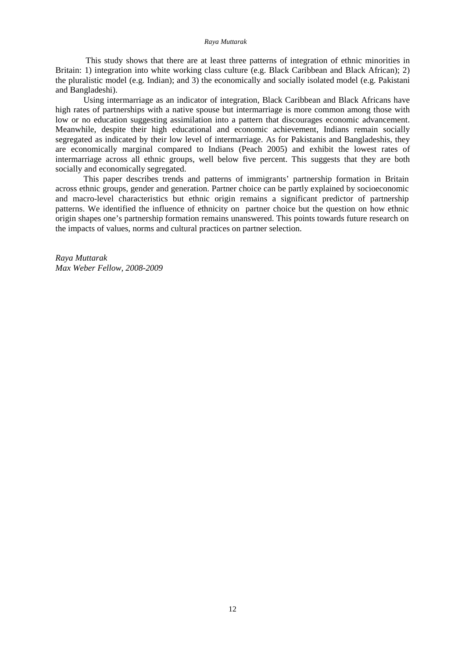This study shows that there are at least three patterns of integration of ethnic minorities in Britain: 1) integration into white working class culture (e.g. Black Caribbean and Black African); 2) the pluralistic model (e.g. Indian); and 3) the economically and socially isolated model (e.g. Pakistani and Bangladeshi).

Using intermarriage as an indicator of integration, Black Caribbean and Black Africans have high rates of partnerships with a native spouse but intermarriage is more common among those with low or no education suggesting assimilation into a pattern that discourages economic advancement. Meanwhile, despite their high educational and economic achievement, Indians remain socially segregated as indicated by their low level of intermarriage. As for Pakistanis and Bangladeshis, they are economically marginal compared to Indians (Peach 2005) and exhibit the lowest rates of intermarriage across all ethnic groups, well below five percent. This suggests that they are both socially and economically segregated.

This paper describes trends and patterns of immigrants' partnership formation in Britain across ethnic groups, gender and generation. Partner choice can be partly explained by socioeconomic and macro-level characteristics but ethnic origin remains a significant predictor of partnership patterns. We identified the influence of ethnicity on partner choice but the question on how ethnic origin shapes one's partnership formation remains unanswered. This points towards future research on the impacts of values, norms and cultural practices on partner selection.

*Raya Muttarak Max Weber Fellow, 2008-2009*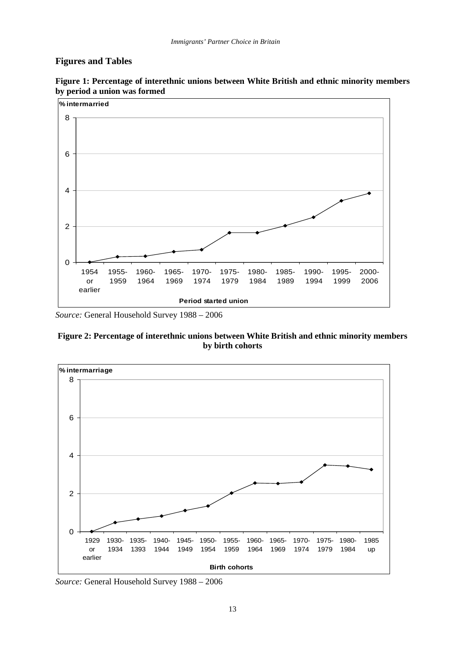# **Figures and Tables**



**Figure 1: Percentage of interethnic unions between White British and ethnic minority members by period a union was formed** 

*Source:* General Household Survey 1988 – 2006

**Figure 2: Percentage of interethnic unions between White British and ethnic minority members by birth cohorts** 



*Source:* General Household Survey 1988 – 2006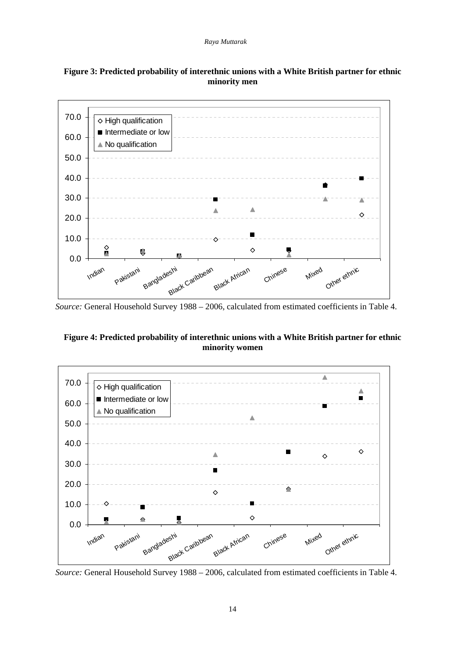



*Source:* General Household Survey 1988 – 2006, calculated from estimated coefficients in Table 4.

# **Figure 4: Predicted probability of interethnic unions with a White British partner for ethnic minority women**



*Source:* General Household Survey 1988 – 2006, calculated from estimated coefficients in Table 4.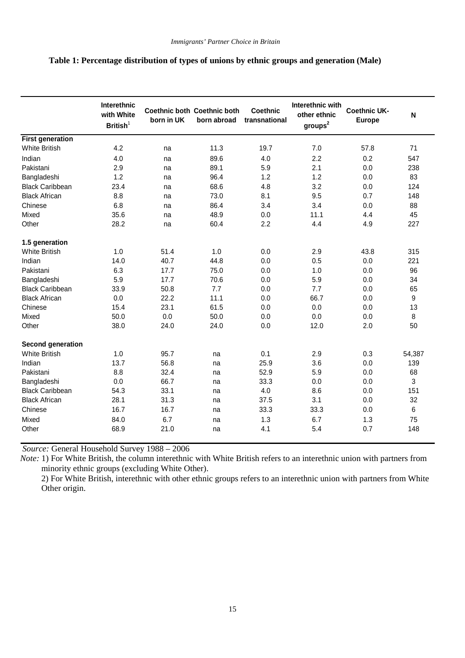# **Table 1: Percentage distribution of types of unions by ethnic groups and generation (Male)**

|                         | Interethnic<br>with White<br>British <sup>1</sup> | born in UK | Coethnic both Coethnic both<br>born abroad | <b>Coethnic</b><br>transnational | Interethnic with<br>other ethnic<br>$\text{groups}^2$ | <b>Coethnic UK-</b><br><b>Europe</b> | $\mathsf{N}$ |
|-------------------------|---------------------------------------------------|------------|--------------------------------------------|----------------------------------|-------------------------------------------------------|--------------------------------------|--------------|
| <b>First generation</b> |                                                   |            |                                            |                                  |                                                       |                                      |              |
| <b>White British</b>    | 4.2                                               | na         | 11.3                                       | 19.7                             | 7.0                                                   | 57.8                                 | 71           |
| Indian                  | 4.0                                               | na         | 89.6                                       | 4.0                              | 2.2                                                   | 0.2                                  | 547          |
| Pakistani               | 2.9                                               | na         | 89.1                                       | 5.9                              | 2.1                                                   | 0.0                                  | 238          |
| Bangladeshi             | 1.2                                               | na         | 96.4                                       | 1.2                              | 1.2                                                   | 0.0                                  | 83           |
| <b>Black Caribbean</b>  | 23.4                                              | na         | 68.6                                       | 4.8                              | 3.2                                                   | 0.0                                  | 124          |
| <b>Black African</b>    | 8.8                                               | na         | 73.0                                       | 8.1                              | 9.5                                                   | 0.7                                  | 148          |
| Chinese                 | 6.8                                               | na         | 86.4                                       | 3.4                              | 3.4                                                   | 0.0                                  | 88           |
| Mixed                   | 35.6                                              | na         | 48.9                                       | 0.0                              | 11.1                                                  | 4.4                                  | 45           |
| Other                   | 28.2                                              | na         | 60.4                                       | 2.2                              | 4.4                                                   | 4.9                                  | 227          |
| 1.5 generation          |                                                   |            |                                            |                                  |                                                       |                                      |              |
| <b>White British</b>    | 1.0                                               | 51.4       | 1.0                                        | 0.0                              | 2.9                                                   | 43.8                                 | 315          |
| Indian                  | 14.0                                              | 40.7       | 44.8                                       | 0.0                              | 0.5                                                   | 0.0                                  | 221          |
| Pakistani               | 6.3                                               | 17.7       | 75.0                                       | 0.0                              | 1.0                                                   | 0.0                                  | 96           |
| Bangladeshi             | 5.9                                               | 17.7       | 70.6                                       | 0.0                              | 5.9                                                   | 0.0                                  | 34           |
| <b>Black Caribbean</b>  | 33.9                                              | 50.8       | 7.7                                        | 0.0                              | 7.7                                                   | 0.0                                  | 65           |
| <b>Black African</b>    | 0.0                                               | 22.2       | 11.1                                       | 0.0                              | 66.7                                                  | 0.0                                  | 9            |
| Chinese                 | 15.4                                              | 23.1       | 61.5                                       | 0.0                              | 0.0                                                   | 0.0                                  | 13           |
| Mixed                   | 50.0                                              | 0.0        | 50.0                                       | 0.0                              | 0.0                                                   | 0.0                                  | 8            |
| Other                   | 38.0                                              | 24.0       | 24.0                                       | 0.0                              | 12.0                                                  | 2.0                                  | 50           |
| Second generation       |                                                   |            |                                            |                                  |                                                       |                                      |              |
| <b>White British</b>    | 1.0                                               | 95.7       | na                                         | 0.1                              | 2.9                                                   | 0.3                                  | 54,387       |
| Indian                  | 13.7                                              | 56.8       | na                                         | 25.9                             | 3.6                                                   | 0.0                                  | 139          |
| Pakistani               | 8.8                                               | 32.4       | na                                         | 52.9                             | 5.9                                                   | 0.0                                  | 68           |
| Bangladeshi             | 0.0                                               | 66.7       | na                                         | 33.3                             | 0.0                                                   | 0.0                                  | 3            |
| <b>Black Caribbean</b>  | 54.3                                              | 33.1       | na                                         | 4.0                              | 8.6                                                   | 0.0                                  | 151          |
| <b>Black African</b>    | 28.1                                              | 31.3       | na                                         | 37.5                             | 3.1                                                   | 0.0                                  | 32           |
| Chinese                 | 16.7                                              | 16.7       | na                                         | 33.3                             | 33.3                                                  | 0.0                                  | $\,6\,$      |
| Mixed                   | 84.0                                              | 6.7        | na                                         | 1.3                              | 6.7                                                   | 1.3                                  | 75           |
| Other                   | 68.9                                              | 21.0       | na                                         | 4.1                              | 5.4                                                   | 0.7                                  | 148          |

*Source:* General Household Survey 1988 – 2006

*Note:* 1) For White British, the column interethnic with White British refers to an interethnic union with partners from minority ethnic groups (excluding White Other).

2) For White British, interethnic with other ethnic groups refers to an interethnic union with partners from White Other origin.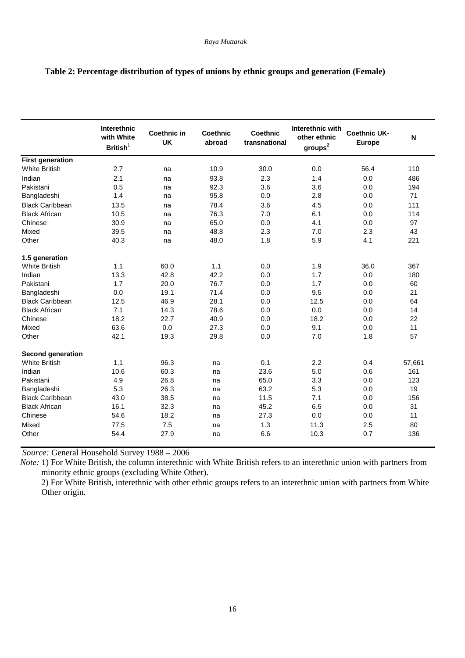|                          | Interethnic<br>with White<br>British <sup>1</sup> | <b>Coethnic in</b><br><b>UK</b> | Coethnic<br>abroad | <b>Coethnic</b><br>transnational | Interethnic with<br>other ethnic<br>groups <sup>2</sup> | <b>Coethnic UK-</b><br><b>Europe</b> | N      |
|--------------------------|---------------------------------------------------|---------------------------------|--------------------|----------------------------------|---------------------------------------------------------|--------------------------------------|--------|
| <b>First generation</b>  |                                                   |                                 |                    |                                  |                                                         |                                      |        |
| <b>White British</b>     | 2.7                                               | na                              | 10.9               | 30.0                             | 0.0                                                     | 56.4                                 | 110    |
| Indian                   | 2.1                                               | na                              | 93.8               | 2.3                              | 1.4                                                     | 0.0                                  | 486    |
| Pakistani                | 0.5                                               | na                              | 92.3               | 3.6                              | 3.6                                                     | 0.0                                  | 194    |
| Bangladeshi              | 1.4                                               | na                              | 95.8               | 0.0                              | 2.8                                                     | 0.0                                  | 71     |
| <b>Black Caribbean</b>   | 13.5                                              | na                              | 78.4               | 3.6                              | 4.5                                                     | 0.0                                  | 111    |
| <b>Black African</b>     | 10.5                                              | na                              | 76.3               | 7.0                              | 6.1                                                     | 0.0                                  | 114    |
| Chinese                  | 30.9                                              | na                              | 65.0               | 0.0                              | 4.1                                                     | 0.0                                  | 97     |
| Mixed                    | 39.5                                              | na                              | 48.8               | 2.3                              | 7.0                                                     | 2.3                                  | 43     |
| Other                    | 40.3                                              | na                              | 48.0               | 1.8                              | 5.9                                                     | 4.1                                  | 221    |
| 1.5 generation           |                                                   |                                 |                    |                                  |                                                         |                                      |        |
| <b>White British</b>     | 1.1                                               | 60.0                            | 1.1                | 0.0                              | 1.9                                                     | 36.0                                 | 367    |
| Indian                   | 13.3                                              | 42.8                            | 42.2               | 0.0                              | 1.7                                                     | 0.0                                  | 180    |
| Pakistani                | 1.7                                               | 20.0                            | 76.7               | 0.0                              | 1.7                                                     | 0.0                                  | 60     |
| Bangladeshi              | 0.0                                               | 19.1                            | 71.4               | 0.0                              | 9.5                                                     | 0.0                                  | 21     |
| <b>Black Caribbean</b>   | 12.5                                              | 46.9                            | 28.1               | 0.0                              | 12.5                                                    | 0.0                                  | 64     |
| <b>Black African</b>     | 7.1                                               | 14.3                            | 78.6               | 0.0                              | 0.0                                                     | 0.0                                  | 14     |
| Chinese                  | 18.2                                              | 22.7                            | 40.9               | 0.0                              | 18.2                                                    | 0.0                                  | 22     |
| Mixed                    | 63.6                                              | 0.0                             | 27.3               | 0.0                              | 9.1                                                     | 0.0                                  | 11     |
| Other                    | 42.1                                              | 19.3                            | 29.8               | 0.0                              | 7.0                                                     | 1.8                                  | 57     |
| <b>Second generation</b> |                                                   |                                 |                    |                                  |                                                         |                                      |        |
| <b>White British</b>     | 1.1                                               | 96.3                            | na                 | 0.1                              | 2.2                                                     | 0.4                                  | 57,661 |
| Indian                   | 10.6                                              | 60.3                            | na                 | 23.6                             | 5.0                                                     | 0.6                                  | 161    |
| Pakistani                | 4.9                                               | 26.8                            | na                 | 65.0                             | 3.3                                                     | 0.0                                  | 123    |
| Bangladeshi              | 5.3                                               | 26.3                            | na                 | 63.2                             | 5.3                                                     | 0.0                                  | 19     |
| <b>Black Caribbean</b>   | 43.0                                              | 38.5                            | na                 | 11.5                             | 7.1                                                     | 0.0                                  | 156    |
| <b>Black African</b>     | 16.1                                              | 32.3                            | na                 | 45.2                             | 6.5                                                     | 0.0                                  | 31     |
| Chinese                  | 54.6                                              | 18.2                            | na                 | 27.3                             | 0.0                                                     | 0.0                                  | 11     |
| Mixed                    | 77.5                                              | 7.5                             | na                 | 1.3                              | 11.3                                                    | 2.5                                  | 80     |
| Other                    | 54.4                                              | 27.9                            | na                 | 6.6                              | 10.3                                                    | 0.7                                  | 136    |

# **Table 2: Percentage distribution of types of unions by ethnic groups and generation (Female)**

*Source:* General Household Survey 1988 – 2006

*Note:* 1) For White British, the column interethnic with White British refers to an interethnic union with partners from minority ethnic groups (excluding White Other).

2) For White British, interethnic with other ethnic groups refers to an interethnic union with partners from White Other origin.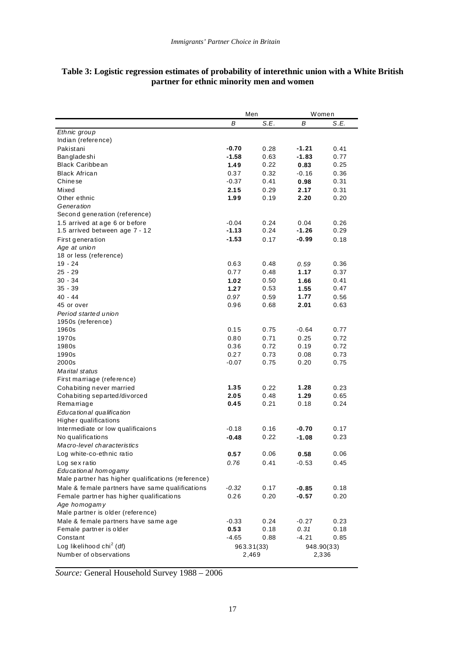|                                                    | Men     |            |         | Women      |
|----------------------------------------------------|---------|------------|---------|------------|
|                                                    | B       | S.E.       | В       | S.E.       |
| Ethnic group                                       |         |            |         |            |
| Indian (reference)                                 |         |            |         |            |
| Pakistani                                          | $-0.70$ | 0.28       | -1.21   | 0.41       |
| Bangladeshi                                        | $-1.58$ | 0.63       | $-1.83$ | 0.77       |
| <b>Black Caribbean</b>                             | 1.49    | 0.22       | 0.83    | 0.25       |
| Black African                                      | 0.37    | 0.32       | $-0.16$ | 0.36       |
| Chinese                                            | $-0.37$ | 0.41       | 0.98    | 0.31       |
| Mixed                                              | 2.15    | 0.29       | 2.17    | 0.31       |
| Other ethnic                                       | 1.99    | 0.19       | 2.20    | 0.20       |
| Generation                                         |         |            |         |            |
| Second generation (reference)                      |         |            |         |            |
| 1.5 arrived at age 6 or before                     | $-0.04$ | 0.24       | 0.04    | 0.26       |
| 1.5 arrived between age 7 - 12                     | $-1.13$ | 0.24       | $-1.26$ | 0.29       |
| First generation                                   | $-1.53$ | 0.17       | -0.99   | 0.18       |
| Age at union                                       |         |            |         |            |
| 18 or less (reference)                             |         |            |         |            |
| $19 - 24$                                          | 0.63    | 0.48       | 0.59    | 0.36       |
| $25 - 29$                                          | 0.77    | 0.48       | 1.17    | 0.37       |
| $30 - 34$                                          | 1.02    | 0.50       | 1.66    | 0.41       |
| $35 - 39$                                          | 1.27    | 0.53       | 1.55    | 0.47       |
| 40 - 44                                            | 0.97    | 0.59       | 1.77    | 0.56       |
| 45 or over                                         | 0.96    | 0.68       | 2.01    | 0.63       |
|                                                    |         |            |         |            |
| Period started union                               |         |            |         |            |
| 1950s (reference)<br>1960s                         | 0.15    | 0.75       |         | 0.77       |
| 1970s                                              |         |            | $-0.64$ |            |
|                                                    | 0.80    | 0.71       | 0.25    | 0.72       |
| 1980s                                              | 0.36    | 0.72       | 0.19    | 0.72       |
| 1990s                                              | 0.27    | 0.73       | 0.08    | 0.73       |
| 2000s                                              | $-0.07$ | 0.75       | 0.20    | 0.75       |
| Marital status                                     |         |            |         |            |
| First marriage (reference)                         |         |            |         |            |
| Cohabiting never married                           | 1.35    | 0.22       | 1.28    | 0.23       |
| Cohabiting separted/divorced                       | 2.05    | 0.48       | 1.29    | 0.65       |
| Remarriage                                         | 0.45    | 0.21       | 0.18    | 0.24       |
| Educational qualification                          |         |            |         |            |
| Higher qualifications                              |         |            |         |            |
| Intermediate or low qualificaions                  | $-0.18$ | 0.16       | -0.70   | 0.17       |
| No qualifications                                  | $-0.48$ | 0.22       | $-1.08$ | 0.23       |
| Macro-level characteristics                        |         |            |         |            |
| Log white-co-ethnic ratio                          | 0.57    | 0.06       | 0.58    | 0.06       |
| Log sex ratio                                      | 0.76    | 0.41       | $-0.53$ | 0.45       |
| Educational homogamy                               |         |            |         |            |
| Male partner has higher qualifications (reference) |         |            |         |            |
| Male & female partners have same qualifications    | $-0.32$ | 0.17       | $-0.85$ | 0.18       |
| Female partner has higher qualifications           | 0.26    | 0.20       | $-0.57$ | 0.20       |
| Age homogamy                                       |         |            |         |            |
| Male partner is older (reference)                  |         |            |         |            |
| Male & female partners have same age               | $-0.33$ | 0.24       | $-0.27$ | 0.23       |
| Female partner is older                            | 0.53    | 0.18       | 0.31    | 0.18       |
| Constant                                           | $-4.65$ | 0.88       | $-4.21$ | 0.85       |
| Log likelihood chi <sup>2</sup> (df)               |         | 963.31(33) |         | 948.90(33) |
| Number of observations                             |         | 2,469      | 2,336   |            |
|                                                    |         |            |         |            |

## **Table 3: Logistic regression estimates of probability of interethnic union with a White British partner for ethnic minority men and women**

*Source:* General Household Survey 1988 – 2006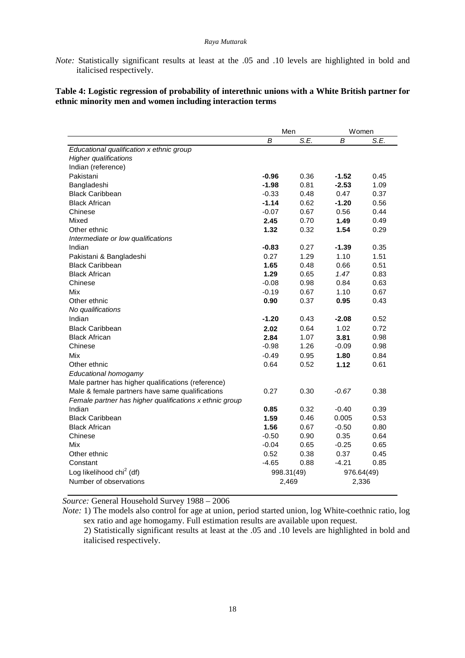*Note:* Statistically significant results at least at the .05 and .10 levels are highlighted in bold and italicised respectively.

# **Table 4: Logistic regression of probability of interethnic unions with a White British partner for ethnic minority men and women including interaction terms**

|                                                         | Men        |      | Women      |      |
|---------------------------------------------------------|------------|------|------------|------|
|                                                         | B          | S.E. | B          | S.E. |
| Educational qualification x ethnic group                |            |      |            |      |
| <b>Higher qualifications</b>                            |            |      |            |      |
| Indian (reference)                                      |            |      |            |      |
| Pakistani                                               | $-0.96$    | 0.36 | $-1.52$    | 0.45 |
| Bangladeshi                                             | $-1.98$    | 0.81 | $-2.53$    | 1.09 |
| <b>Black Caribbean</b>                                  | $-0.33$    | 0.48 | 0.47       | 0.37 |
| <b>Black African</b>                                    | $-1.14$    | 0.62 | $-1.20$    | 0.56 |
| Chinese                                                 | $-0.07$    | 0.67 | 0.56       | 0.44 |
| Mixed                                                   | 2.45       | 0.70 | 1.49       | 0.49 |
| Other ethnic                                            | 1.32       | 0.32 | 1.54       | 0.29 |
| Intermediate or low qualifications                      |            |      |            |      |
| Indian                                                  | $-0.83$    | 0.27 | $-1.39$    | 0.35 |
| Pakistani & Bangladeshi                                 | 0.27       | 1.29 | 1.10       | 1.51 |
| <b>Black Caribbean</b>                                  | 1.65       | 0.48 | 0.66       | 0.51 |
| <b>Black African</b>                                    | 1.29       | 0.65 | 1.47       | 0.83 |
| Chinese                                                 | $-0.08$    | 0.98 | 0.84       | 0.63 |
| Mix                                                     | $-0.19$    | 0.67 | 1.10       | 0.67 |
| Other ethnic                                            | 0.90       | 0.37 | 0.95       | 0.43 |
| No qualifications                                       |            |      |            |      |
| Indian                                                  | $-1.20$    | 0.43 | $-2.08$    | 0.52 |
| <b>Black Caribbean</b>                                  | 2.02       | 0.64 | 1.02       | 0.72 |
| <b>Black African</b>                                    | 2.84       | 1.07 | 3.81       | 0.98 |
| Chinese                                                 | $-0.98$    | 1.26 | $-0.09$    | 0.98 |
| Mix                                                     | $-0.49$    | 0.95 | 1.80       | 0.84 |
| Other ethnic                                            | 0.64       | 0.52 | 1.12       | 0.61 |
| Educational homogamy                                    |            |      |            |      |
| Male partner has higher qualifications (reference)      |            |      |            |      |
| Male & female partners have same qualifications         | 0.27       | 0.30 | -0.67      | 0.38 |
| Female partner has higher qualifications x ethnic group |            |      |            |      |
| Indian                                                  | 0.85       | 0.32 | $-0.40$    | 0.39 |
| <b>Black Caribbean</b>                                  | 1.59       | 0.46 | 0.005      | 0.53 |
| <b>Black African</b>                                    | 1.56       | 0.67 | $-0.50$    | 0.80 |
| Chinese                                                 | $-0.50$    | 0.90 | 0.35       | 0.64 |
| Mix                                                     | $-0.04$    | 0.65 | $-0.25$    | 0.65 |
| Other ethnic                                            | 0.52       | 0.38 | 0.37       | 0.45 |
| Constant                                                | $-4.65$    | 0.88 | $-4.21$    | 0.85 |
| Log likelihood chi <sup>2</sup> (df)                    | 998.31(49) |      | 976.64(49) |      |
| Number of observations                                  | 2,469      |      | 2,336      |      |
|                                                         |            |      |            |      |

*Source:* General Household Survey 1988 – 2006

*Note:* 1) The models also control for age at union, period started union, log White-coethnic ratio, log sex ratio and age homogamy. Full estimation results are available upon request.

 2) Statistically significant results at least at the .05 and .10 levels are highlighted in bold and italicised respectively.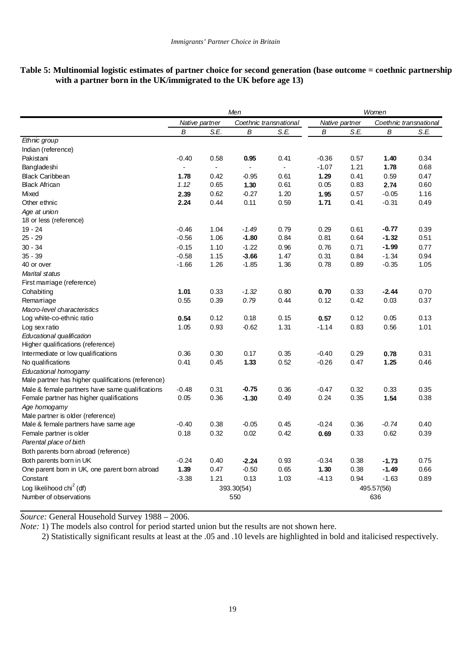# **Table 5: Multinomial logistic estimates of partner choice for second generation (base outcome = coethnic partnership with a partner born in the UK/immigrated to the UK before age 13)**

|                                                    | Men                                      |                |            |                          | Women          |      |                        |      |
|----------------------------------------------------|------------------------------------------|----------------|------------|--------------------------|----------------|------|------------------------|------|
|                                                    | Native partner<br>Coethnic transnational |                |            |                          | Native partner |      | Coethnic transnational |      |
|                                                    | B                                        | S.E.           | B          | S.E.                     | В              | S.E. | B                      | S.E. |
| Ethnic group                                       |                                          |                |            |                          |                |      |                        |      |
| Indian (reference)                                 |                                          |                |            |                          |                |      |                        |      |
| Pakistani                                          | $-0.40$                                  | 0.58           | 0.95       | 0.41                     | $-0.36$        | 0.57 | 1.40                   | 0.34 |
| Bangladeshi                                        |                                          | $\blacksquare$ |            | $\overline{\phantom{a}}$ | $-1.07$        | 1.21 | 1.78                   | 0.68 |
| <b>Black Caribbean</b>                             | 1.78                                     | 0.42           | -0.95      | 0.61                     | 1.29           | 0.41 | 0.59                   | 0.47 |
| <b>Black African</b>                               | 1.12                                     | 0.65           | 1.30       | 0.61                     | 0.05           | 0.83 | 2.74                   | 0.60 |
| Mixed                                              | 2.39                                     | 0.62           | $-0.27$    | 1.20                     | 1.95           | 0.57 | $-0.05$                | 1.16 |
| Other ethnic                                       | 2.24                                     | 0.44           | 0.11       | 0.59                     | 1.71           | 0.41 | $-0.31$                | 0.49 |
| Age at union                                       |                                          |                |            |                          |                |      |                        |      |
| 18 or less (reference)                             |                                          |                |            |                          |                |      |                        |      |
| $19 - 24$                                          | $-0.46$                                  | 1.04           | $-1.49$    | 0.79                     | 0.29           | 0.61 | $-0.77$                | 0.39 |
| $25 - 29$                                          | $-0.56$                                  | 1.06           | $-1.80$    | 0.84                     | 0.81           | 0.64 | $-1.32$                | 0.51 |
| $30 - 34$                                          | $-0.15$                                  | 1.10           | $-1.22$    | 0.96                     | 0.76           | 0.71 | $-1.99$                | 0.77 |
| $35 - 39$                                          | $-0.58$                                  | 1.15           | $-3.66$    | 1.47                     | 0.31           | 0.84 | $-1.34$                | 0.94 |
| 40 or over                                         | $-1.66$                                  | 1.26           | $-1.85$    | 1.36                     | 0.78           | 0.89 | $-0.35$                | 1.05 |
| Marital status                                     |                                          |                |            |                          |                |      |                        |      |
| First marriage (reference)                         |                                          |                |            |                          |                |      |                        |      |
| Cohabiting                                         | 1.01                                     | 0.33           | $-1.32$    | 0.80                     | 0.70           | 0.33 | $-2.44$                | 0.70 |
| Remarriage                                         | 0.55                                     | 0.39           | 0.79       | 0.44                     | 0.12           | 0.42 | 0.03                   | 0.37 |
| Macro-level characteristics                        |                                          |                |            |                          |                |      |                        |      |
| Log white-co-ethnic ratio                          | 0.54                                     | 0.12           | 0.18       | 0.15                     | 0.57           | 0.12 | 0.05                   | 0.13 |
| Log sex ratio                                      | 1.05                                     | 0.93           | $-0.62$    | 1.31                     | $-1.14$        | 0.83 | 0.56                   | 1.01 |
| Educational qualification                          |                                          |                |            |                          |                |      |                        |      |
| Higher qualifications (reference)                  |                                          |                |            |                          |                |      |                        |      |
| Intermediate or low qualifications                 | 0.36                                     | 0.30           | 0.17       | 0.35                     | $-0.40$        | 0.29 | 0.78                   | 0.31 |
| No qualifications                                  | 0.41                                     | 0.45           | 1.33       | 0.52                     | $-0.26$        | 0.47 | 1.25                   | 0.46 |
| Educational homogamy                               |                                          |                |            |                          |                |      |                        |      |
| Male partner has higher qualifications (reference) |                                          |                |            |                          |                |      |                        |      |
| Male & female partners have same qualifications    | $-0.48$                                  | 0.31           | -0.75      | 0.36                     | $-0.47$        | 0.32 | 0.33                   | 0.35 |
| Female partner has higher qualifications           | 0.05                                     | 0.36           | $-1.30$    | 0.49                     | 0.24           | 0.35 | 1.54                   | 0.38 |
| Age homogamy                                       |                                          |                |            |                          |                |      |                        |      |
| Male partner is older (reference)                  |                                          |                |            |                          |                |      |                        |      |
| Male & female partners have same age               | $-0.40$                                  | 0.38           | $-0.05$    | 0.45                     | $-0.24$        | 0.36 | $-0.74$                | 0.40 |
| Female partner is older                            | 0.18                                     | 0.32           | 0.02       | 0.42                     | 0.69           | 0.33 | 0.62                   | 0.39 |
| Parental place of birth                            |                                          |                |            |                          |                |      |                        |      |
| Both parents born abroad (reference)               |                                          |                |            |                          |                |      |                        |      |
| Both parents born in UK                            | $-0.24$                                  | 0.40           | $-2.24$    | 0.93                     | $-0.34$        | 0.38 | $-1.73$                | 0.75 |
| One parent born in UK, one parent born abroad      | 1.39                                     | 0.47           | $-0.50$    | 0.65                     | 1.30           | 0.38 | $-1.49$                | 0.66 |
| Constant                                           | $-3.38$                                  | 1.21           | 0.13       | 1.03                     | $-4.13$        | 0.94 | $-1.63$                | 0.89 |
| Log likelihood chi $2$ (df)                        |                                          |                | 393.30(54) |                          |                |      | 495.57(56)             |      |
| Number of observations                             |                                          |                | 550        |                          |                |      | 636                    |      |
|                                                    |                                          |                |            |                          |                |      |                        |      |

*Source:* General Household Survey 1988 – 2006.

*Note:* 1) The models also control for period started union but the results are not shown here.

2) Statistically significant results at least at the .05 and .10 levels are highlighted in bold and italicised respectively.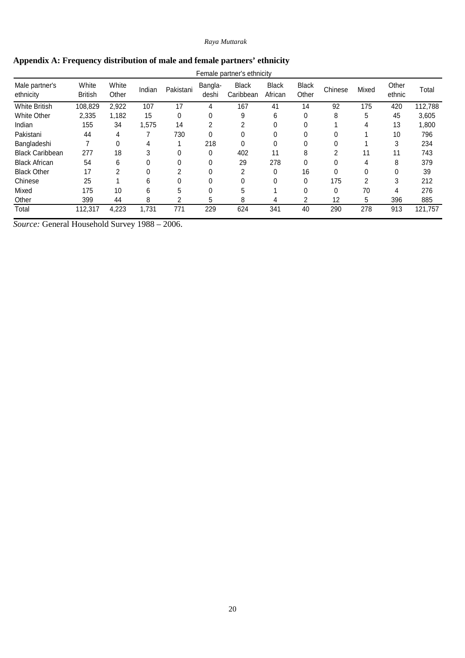|  |  | Appendix A: Frequency distribution of male and female partners' ethnicity |  |
|--|--|---------------------------------------------------------------------------|--|
|  |  |                                                                           |  |

| Female partner's ethnicity  |                         |                |        |           |                  |                    |                         |                       |         |       |                 |         |
|-----------------------------|-------------------------|----------------|--------|-----------|------------------|--------------------|-------------------------|-----------------------|---------|-------|-----------------|---------|
| Male partner's<br>ethnicity | White<br><b>British</b> | White<br>Other | Indian | Pakistani | Bangla-<br>deshi | Black<br>Caribbean | <b>Black</b><br>African | <b>Black</b><br>Other | Chinese | Mixed | Other<br>ethnic | Total   |
| <b>White British</b>        | 108,829                 | 2,922          | 107    | 17        | 4                | 167                | 41                      | 14                    | 92      | 175   | 420             | 112,788 |
| <b>White Other</b>          | 2,335                   | 1,182          | 15     | 0         | 0                | 9                  | 6                       | 0                     | 8       | 5     | 45              | 3,605   |
| Indian                      | 155                     | 34             | .575   | 14        | 2                | 2                  | $\Omega$                |                       |         | 4     | 13              | 1,800   |
| Pakistani                   | 44                      | 4              |        | 730       | $\theta$         | 0                  | $\Omega$                |                       |         |       | 10              | 796     |
| Bangladeshi                 |                         | 0              | 4      |           | 218              | 0                  | $\Omega$                |                       |         |       | 3               | 234     |
| <b>Black Caribbean</b>      | 277                     | 18             | 3      | 0         | 0                | 402                | 11                      | 8                     | ົ       | 11    | 11              | 743     |
| <b>Black African</b>        | 54                      | 6              |        | 0         | $\Omega$         | 29                 | 278                     | 0                     |         | 4     | 8               | 379     |
| <b>Black Other</b>          | 17                      | 2              |        | 2         | 0                | 2                  | $\Omega$                | 16                    |         |       |                 | 39      |
| Chinese                     | 25                      |                | 6      | 0         | 0                | 0                  | $\Omega$                | 0                     | 175     | 2     | 3               | 212     |
| Mixed                       | 175                     | 10             | 6      | 5         | 0                | 5                  |                         | በ                     | 0       | 70    | 4               | 276     |
| Other                       | 399                     | 44             | 8      | 2         | 5                | 8                  | 4                       | 2                     | 12      | 5     | 396             | 885     |
| Total                       | 112,317                 | 4,223          | 1.731  | 771       | 229              | 624                | 341                     | 40                    | 290     | 278   | 913             | 121,757 |

*Source:* General Household Survey 1988 – 2006.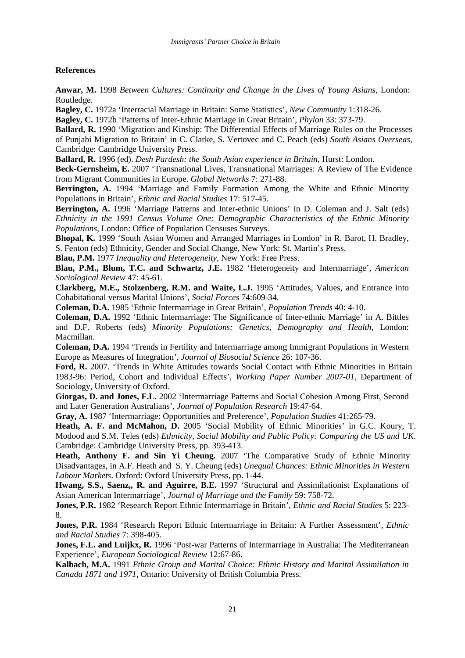# **References**

**Anwar, M.** 1998 *Between Cultures: Continuity and Change in the Lives of Young Asians*, London: Routledge.

**Bagley, C.** 1972a 'Interracial Marriage in Britain: Some Statistics', *New Community* 1:318-26.

**Bagley, C.** 1972b 'Patterns of Inter-Ethnic Marriage in Great Britain', *Phylon* 33: 373-79.

**Ballard, R.** 1990 'Migration and Kinship: The Differential Effects of Marriage Rules on the Processes of Punjabi Migration to Britain' in C. Clarke, S. Vertovec and C. Peach (eds) *South Asians Overseas*, Cambridge: Cambridge University Press.

**Ballard, R.** 1996 (ed). *Desh Pardesh: the South Asian experience in Britain*, Hurst: London.

**Beck-Gernsheim, E.** 2007 'Transnational Lives, Transnational Marriages: A Review of The Evidence from Migrant Communities in Europe. *Global Networks* 7: 271-88.

**Berrington, A.** 1994 'Marriage and Family Formation Among the White and Ethnic Minority Populations in Britain', *Ethnic and Racial Studies* 17: 517-45.

**Berrington, A.** 1996 'Marriage Patterns and Inter-ethnic Unions' in D. Coleman and J. Salt (eds) *Ethnicity in the 1991 Census Volume One: Demographic Characteristics of the Ethnic Minority Populations*, London: Office of Population Censuses Surveys.

**Bhopal, K.** 1999 'South Asian Women and Arranged Marriages in London' in R. Barot, H. Bradley, S. Fenton (eds) Ethnicity, Gender and Social Change, New York: St. Martin's Press.

**Blau, P.M.** 1977 *Inequality and Heterogeneity*, New York: Free Press.

**Blau, P.M., Blum, T.C. and Schwartz, J.E.** 1982 'Heterogeneity and Intermarriage', *American Sociological Review* 47: 45-61.

**Clarkberg, M.E., Stolzenberg, R.M. and Waite, L.J.** 1995 'Attitudes, Values, and Entrance into Cohabitational versus Marital Unions', *Social Forces* 74:609-34.

**Coleman, D.A.** 1985 'Ethnic Intermarriage in Great Britain', *Population Trends* 40: 4-10.

**Coleman, D.A.** 1992 'Ethnic Intermarriage: The Significance of Inter-ethnic Marriage' in A. Bittles and D.F. Roberts (eds) *Minority Populations: Genetics, Demography and Health*, London: Macmillan.

**Coleman, D.A.** 1994 'Trends in Fertility and Intermarriage among Immigrant Populations in Western Europe as Measures of Integration', *Journal of Biosocial Science* 26: 107-36.

**Ford, R.** 2007. 'Trends in White Attitudes towards Social Contact with Ethnic Minorities in Britain 1983-96: Period, Cohort and Individual Effects', *Working Paper Number 2007-01*, Department of Sociology, University of Oxford.

**Giorgas, D. and Jones, F.L.** 2002 'Intermarriage Patterns and Social Cohesion Among First, Second and Later Generation Australians', *Journal of Population Research* 19:47-64.

**Gray, A.** 1987 'Intermarriage: Opportunities and Preference', *Population Studies* 41:265-79.

**Heath, A. F. and McMahon, D.** 2005 'Social Mobility of Ethnic Minorities' in G.C. Koury, T. Modood and S.M. Teles (eds) *Ethnicity, Social Mobility and Public Policy: Comparing the US and UK*. Cambridge: Cambridge University Press, pp. 393-413.

**Heath, Anthony F. and Sin Yi Cheung.** 2007 'The Comparative Study of Ethnic Minority Disadvantages, in A.F. Heath and S. Y. Cheung (eds) *Unequal Chances: Ethnic Minorities in Western Labour Markets*. Oxford: Oxford University Press, pp. 1-44.

**Hwang, S.S., Saenz,, R. and Aguirre, B.E.** 1997 'Structural and Assimilationist Explanations of Asian American Intermarriage', *Journal of Marriage and the Family* 59: 758-72.

**Jones, P.R.** 1982 'Research Report Ethnic Intermarriage in Britain', *Ethnic and Racial Studies* 5: 223- 8.

**Jones, P.R.** 1984 'Research Report Ethnic Intermarriage in Britain: A Further Assessment', *Ethnic and Racial Studies* 7: 398-405.

**Jones, F.L. and Luijkx, R.** 1996 'Post-war Patterns of Intermarriage in Australia: The Mediterranean Experience', *European Sociological Review* 12:67-86.

**Kalbach, M.A.** 1991 *Ethnic Group and Marital Choice: Ethnic History and Marital Assimilation in Canada 1871 and 1971*, Ontario: University of British Columbia Press.